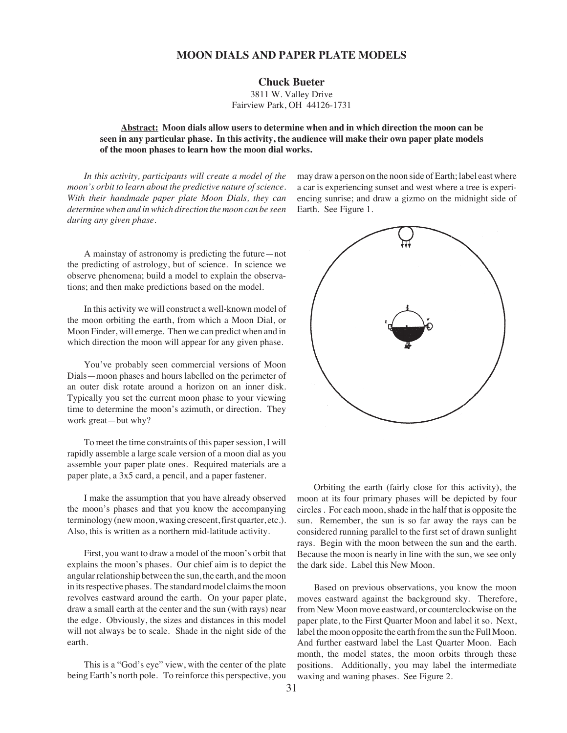## **MOON DIALS AND PAPER PLATE MODELS**

**Chuck Bueter** 3811 W. Valley Drive Fairview Park, OH 44126-1731

## **Abstract: Moon dials allow users to determine when and in which direction the moon can be seen in any particular phase. In this activity, the audience will make their own paper plate models of the moon phases to learn how the moon dial works.**

*In this activity, participants will create a model of the moon's orbit to learn about the predictive nature of science. With their handmade paper plate Moon Dials, they can determine when and in which direction the moon can be seen during any given phase.*

may draw a person on the noon side of Earth; label east where a car is experiencing sunset and west where a tree is experiencing sunrise; and draw a gizmo on the midnight side of Earth. See Figure 1.

A mainstay of astronomy is predicting the future—not the predicting of astrology, but of science. In science we observe phenomena; build a model to explain the observations; and then make predictions based on the model.

In this activity we will construct a well-known model of the moon orbiting the earth, from which a Moon Dial, or Moon Finder, will emerge. Then we can predict when and in which direction the moon will appear for any given phase.

You've probably seen commercial versions of Moon Dials—moon phases and hours labelled on the perimeter of an outer disk rotate around a horizon on an inner disk. Typically you set the current moon phase to your viewing time to determine the moon's azimuth, or direction. They work great—but why?

To meet the time constraints of this paper session, I will rapidly assemble a large scale version of a moon dial as you assemble your paper plate ones. Required materials are a paper plate, a 3x5 card, a pencil, and a paper fastener.

I make the assumption that you have already observed the moon's phases and that you know the accompanying terminology (new moon, waxing crescent, first quarter, etc.). Also, this is written as a northern mid-latitude activity.

First, you want to draw a model of the moon's orbit that explains the moon's phases. Our chief aim is to depict the angular relationship between the sun, the earth, and the moon in its respective phases. The standard model claims the moon revolves eastward around the earth. On your paper plate, draw a small earth at the center and the sun (with rays) near the edge. Obviously, the sizes and distances in this model will not always be to scale. Shade in the night side of the earth.

This is a "God's eye" view, with the center of the plate being Earth's north pole. To reinforce this perspective, you



Orbiting the earth (fairly close for this activity), the moon at its four primary phases will be depicted by four circles . For each moon, shade in the half that is opposite the sun. Remember, the sun is so far away the rays can be considered running parallel to the first set of drawn sunlight rays. Begin with the moon between the sun and the earth. Because the moon is nearly in line with the sun, we see only the dark side. Label this New Moon.

Based on previous observations, you know the moon moves eastward against the background sky. Therefore, from New Moon move eastward, or counterclockwise on the paper plate, to the First Quarter Moon and label it so. Next, label the moon opposite the earth from the sun the Full Moon. And further eastward label the Last Quarter Moon. Each month, the model states, the moon orbits through these positions. Additionally, you may label the intermediate waxing and waning phases. See Figure 2.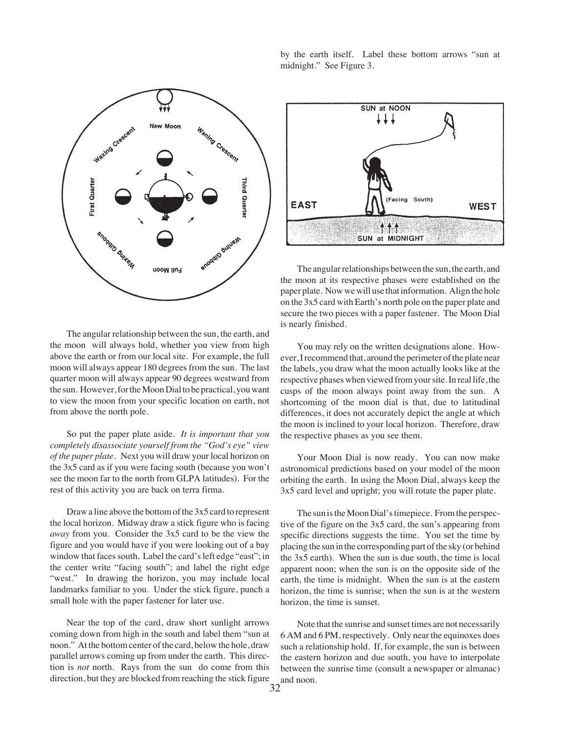by the earth itself. Label these bottom arrows "sun at midnight." See Figure 3.

SUN at NOON





The angular relationships between the sun, the earth, and the moon at its respective phases were established on the paper plate. Now we will use that information. Align the hole on the 3x5 card with Earth's north pole on the paper plate and secure the two pieces with a paper fastener. The Moon Dial is nearly finished.

The angular relationship between the sun, the earth, and the moon will always hold, whether you view from high above the earth or from our local site. For example, the full moon will always appear 180 degrees from the sun. The last quarter moon will always appear 90 degrees westward from the sun. However, for the Moon Dial to be practical, you want to view the moon from your specific location on earth, not from above the north pole.

So put the paper plate aside. *It is important that you completely disassociate yourself from the "God's eye" view of the paper plate.* Next you will draw your local horizon on the 3x5 card as if you were facing south (because you won't see the moon far to the north from GLPA latitudes). For the rest of this activity you are back on terra firma.

Draw a line above the bottom of the 3x5 card to represent the local horizon. Midway draw a stick figure who is facing *away* from you. Consider the 3x5 card to be the view the figure and you would have if you were looking out of a bay window that faces south. Label the card's left edge "east"; in the center write "facing south"; and label the right edge "west." In drawing the horizon, you may include local landmarks familiar to you. Under the stick figure, punch a small hole with the paper fastener for later use.

Near the top of the card, draw short sunlight arrows coming down from high in the south and label them "sun at noon." At the bottom center of the card, below the hole, draw parallel arrows coming up from under the earth. This direction is *not* north. Rays from the sun do come from this direction, but they are blocked from reaching the stick figure

You may rely on the written designations alone. However, I recommend that, around the perimeter of the plate near the labels, you draw what the moon actually looks like at the respective phases when viewed from your site. In real life, the cusps of the moon always point away from the sun. A shortcoming of the moon dial is that, due to latitudinal differences, it does not accurately depict the angle at which the moon is inclined to your local horizon. Therefore, draw the respective phases as you see them.

Your Moon Dial is now ready. You can now make astronomical predictions based on your model of the moon orbiting the earth. In using the Moon Dial, always keep the 3x5 card level and upright; you will rotate the paper plate.

The sun is the Moon Dial's timepiece. From the perspective of the figure on the 3x5 card, the sun's appearing from specific directions suggests the time. You set the time by placing the sun in the corresponding part of the sky (or behind the 3x5 earth). When the sun is due south, the time is local apparent noon; when the sun is on the opposite side of the earth, the time is midnight. When the sun is at the eastern horizon, the time is sunrise; when the sun is at the western horizon, the time is sunset.

Note that the sunrise and sunset times are not necessarily 6 AM and 6 PM, respectively. Only near the equinoxes does such a relationship hold. If, for example, the sun is between the eastern horizon and due south, you have to interpolate between the sunrise time (consult a newspaper or almanac) and noon.